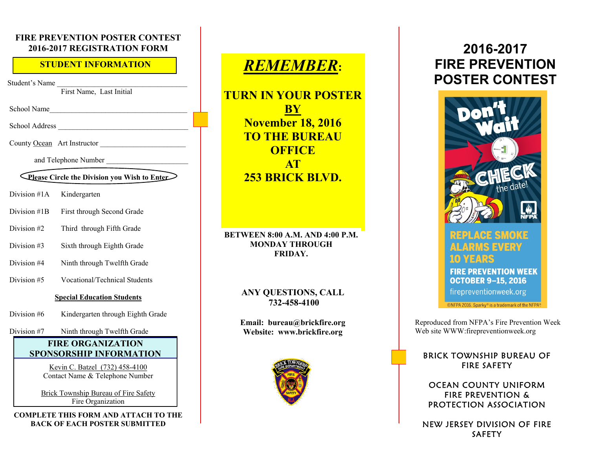#### **FIRE PREVENTION POSTER CONTEST 2016-2017 REGISTRATION FORM**

#### **STUDENT INFORMATION**

Student's Name

First Name, Last Initial

School Name

School Address

County Ocean Art Instructor

and Telephone Number \_\_\_\_\_\_\_\_\_\_\_\_\_\_\_\_\_\_\_\_\_\_

#### **Please Circle the Division you Wish to Enter**

- Division #1A Kindergarten
- Division #1B First through Second Grade
- Division #2 Third through Fifth Grade
- Division #3 Sixth through Eighth Grade
- Division #4 Ninth through Twelfth Grade
- Division #5 Vocational/Technical Students

#### **Special Education Students**

Division #6 Kindergarten through Eighth Grade

Division #7 Ninth through Twelfth Grade

#### **FIRE ORGANIZATION SPONSORSHIP INFORMATION**

Kevin C. Batzel (732) 458-4100 Contact Name & Telephone Number

Brick Township Bureau of Fire Safety Fire Organization

**COMPLETE THIS FORM AND ATTACH TO THE BACK OF EACH POSTER SUBMITTED**

# *REMEMBER***:**

**TURN IN YOUR POSTER BY November 18, 2016 TO THE BUREAU OFFICE AT 253 BRICK BLVD.** 

**BETWEEN 8:00 A.M. AND 4:00 P.M. MONDAY THROUGH FRIDAY.**

#### **ANY QUESTIONS, CALL 732-458-4100**

**Email: bureau@brickfire.org Website: www.brickfire.org**



# **2016-2017 FIRE PREVENTION POSTER CONTEST**



# REPLACE SMOKE ALARMS EVERY

**FIRE PREVENTION WEEK OCTOBER 9-15, 2016** 

firepreventionweek.org

©NFPA 2016. Sparky® is a trademark of the NFPA®

Reproduced from NFPA's Fire Prevention Week Web site WWW:firepreventionweek.org

#### **BRICK TOWNSHIP BUREAU OF FIRE SAFETY**

OCEAN COUNTY UNIFORM **FIRE PREVENTION &** PROTECTION ASSOCIATION

NEW JERSEY DIVISION OF FIRE **SAFETY**